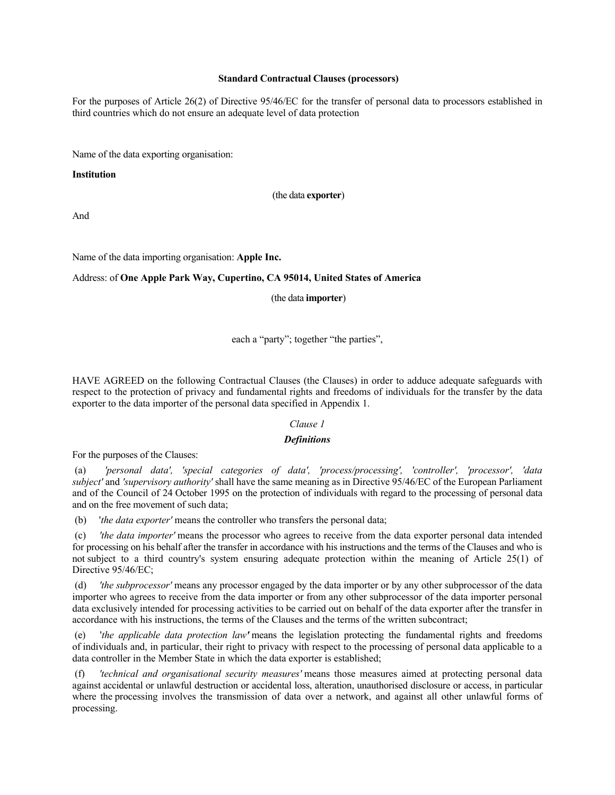### **Standard Contractual Clauses (processors)**

For the purposes of Article 26(2) of Directive 95/46/EC for the transfer of personal data to processors established in third countries which do not ensure an adequate level of data protection

Name of the data exporting organisation:

**Institution**

(the data **exporter**)

And

Name of the data importing organisation: **Apple Inc.**

### Address: of **One Apple Park Way, Cupertino, CA 95014, United States of America**

(the data **importer**)

each a "party"; together "the parties",

HAVE AGREED on the following Contractual Clauses (the Clauses) in order to adduce adequate safeguards with respect to the protection of privacy and fundamental rights and freedoms of individuals for the transfer by the data exporter to the data importer of the personal data specified in Appendix 1.

## *Clause 1*

#### *Definitions*

For the purposes of the Clauses:

(a) *'personal data', 'special categories of data', 'process/processing', 'controller', 'processor', 'data subject'* and *'supervisory authority'* shall have the same meaning as in Directive 95/46/EC of the European Parliament and of the Council of 24 October 1995 on the protection of individuals with regard to the processing of personal data and on the free movement of such data;

(b) '*the data exporter'* means the controller who transfers the personal data;

(c) *'the data importer'* means the processor who agrees to receive from the data exporter personal data intended for processing on his behalf after the transfer in accordance with his instructions and the terms of the Clauses and who is not subject to a third country's system ensuring adequate protection within the meaning of Article 25(1) of Directive 95/46/EC;

*'the subprocessor'* means any processor engaged by the data importer or by any other subprocessor of the data importer who agrees to receive from the data importer or from any other subprocessor of the data importer personal data exclusively intended for processing activities to be carried out on behalf of the data exporter after the transfer in accordance with his instructions, the terms of the Clauses and the terms of the written subcontract;

'*the applicable data protection law*' means the legislation protecting the fundamental rights and freedoms of individuals and, in particular, their right to privacy with respect to the processing of personal data applicable to a data controller in the Member State in which the data exporter is established;

(f) *'technical and organisational security measures'* means those measures aimed at protecting personal data against accidental or unlawful destruction or accidental loss, alteration, unauthorised disclosure or access, in particular where the processing involves the transmission of data over a network, and against all other unlawful forms of processing.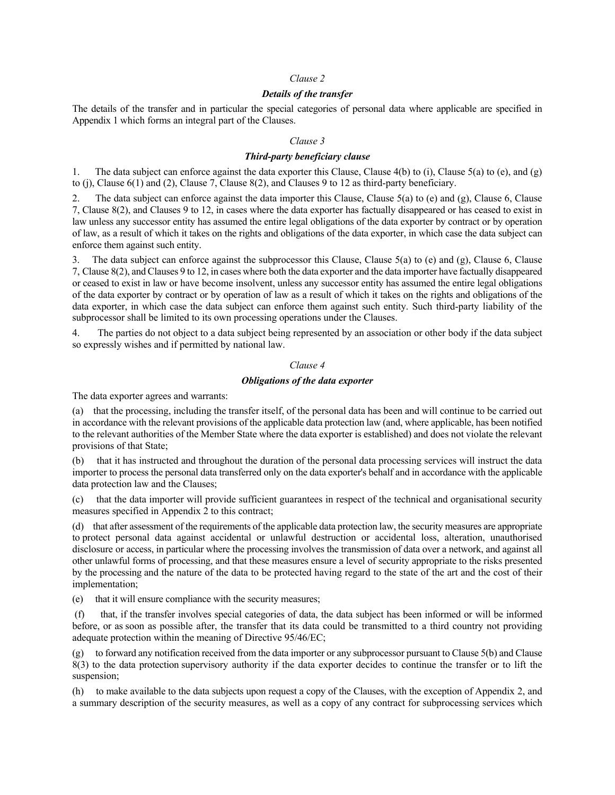### *Clause 2*

## *Details of the transfer*

The details of the transfer and in particular the special categories of personal data where applicable are specified in Appendix 1 which forms an integral part of the Clauses.

### *Clause 3*

#### *Third-party beneficiary clause*

1. The data subject can enforce against the data exporter this Clause, Clause 4(b) to (i), Clause 5(a) to (e), and (g) to (j), Clause 6(1) and (2), Clause 7, Clause 8(2), and Clauses 9 to 12 as third-party beneficiary.

2. The data subject can enforce against the data importer this Clause, Clause 5(a) to (e) and (g), Clause 6, Clause 7, Clause 8(2), and Clauses 9 to 12, in cases where the data exporter has factually disappeared or has ceased to exist in law unless any successor entity has assumed the entire legal obligations of the data exporter by contract or by operation of law, as a result of which it takes on the rights and obligations of the data exporter, in which case the data subject can enforce them against such entity.

3. The data subject can enforce against the subprocessor this Clause, Clause 5(a) to (e) and (g), Clause 6, Clause 7, Clause 8(2), and Clauses 9 to 12, in cases where both the data exporter and the data importer have factually disappeared or ceased to exist in law or have become insolvent, unless any successor entity has assumed the entire legal obligations of the data exporter by contract or by operation of law as a result of which it takes on the rights and obligations of the data exporter, in which case the data subject can enforce them against such entity. Such third-party liability of the subprocessor shall be limited to its own processing operations under the Clauses.

4. The parties do not object to a data subject being represented by an association or other body if the data subject so expressly wishes and if permitted by national law.

## *Clause 4*

## *Obligations of the data exporter*

The data exporter agrees and warrants:

(a) that the processing, including the transfer itself, of the personal data has been and will continue to be carried out in accordance with the relevant provisions of the applicable data protection law (and, where applicable, has been notified to the relevant authorities of the Member State where the data exporter is established) and does not violate the relevant provisions of that State;

(b) that it has instructed and throughout the duration of the personal data processing services will instruct the data importer to process the personal data transferred only on the data exporter's behalf and in accordance with the applicable data protection law and the Clauses;

(c) that the data importer will provide sufficient guarantees in respect of the technical and organisational security measures specified in Appendix 2 to this contract;

(d) that after assessment of the requirements of the applicable data protection law, the security measures are appropriate to protect personal data against accidental or unlawful destruction or accidental loss, alteration, unauthorised disclosure or access, in particular where the processing involves the transmission of data over a network, and against all other unlawful forms of processing, and that these measures ensure a level of security appropriate to the risks presented by the processing and the nature of the data to be protected having regard to the state of the art and the cost of their implementation;

(e) that it will ensure compliance with the security measures;

(f) that, if the transfer involves special categories of data, the data subject has been informed or will be informed before, or as soon as possible after, the transfer that its data could be transmitted to a third country not providing adequate protection within the meaning of Directive 95/46/EC;

(g) to forward any notification received from the data importer or any subprocessor pursuant to Clause 5(b) and Clause 8(3) to the data protection supervisory authority if the data exporter decides to continue the transfer or to lift the suspension;

(h) to make available to the data subjects upon request a copy of the Clauses, with the exception of Appendix 2, and a summary description of the security measures, as well as a copy of any contract for subprocessing services which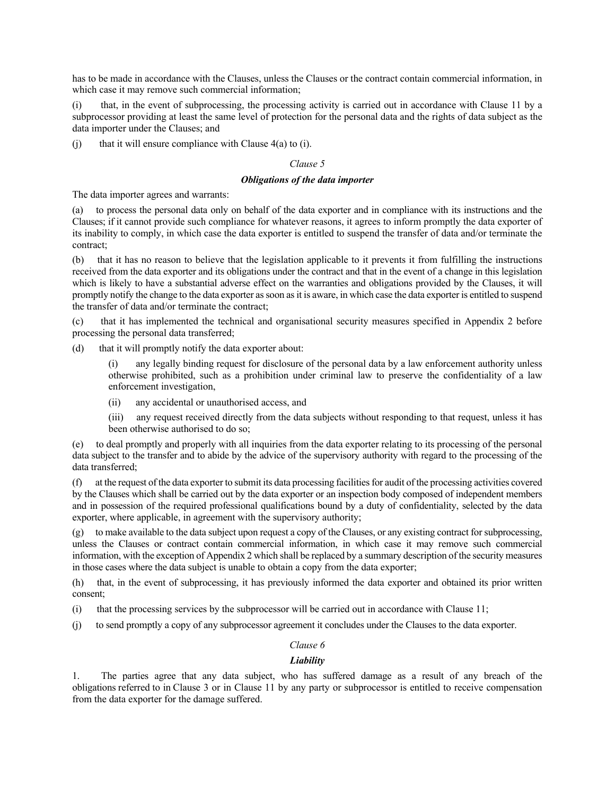has to be made in accordance with the Clauses, unless the Clauses or the contract contain commercial information, in which case it may remove such commercial information;

(i) that, in the event of subprocessing, the processing activity is carried out in accordance with Clause 11 by a subprocessor providing at least the same level of protection for the personal data and the rights of data subject as the data importer under the Clauses; and

(i) that it will ensure compliance with Clause  $4(a)$  to (i).

# *Clause 5*

### *Obligations of the data importer*

The data importer agrees and warrants:

(a) to process the personal data only on behalf of the data exporter and in compliance with its instructions and the Clauses; if it cannot provide such compliance for whatever reasons, it agrees to inform promptly the data exporter of its inability to comply, in which case the data exporter is entitled to suspend the transfer of data and/or terminate the contract;

(b) that it has no reason to believe that the legislation applicable to it prevents it from fulfilling the instructions received from the data exporter and its obligations under the contract and that in the event of a change in this legislation which is likely to have a substantial adverse effect on the warranties and obligations provided by the Clauses, it will promptly notify the change to the data exporter as soon as it is aware, in which case the data exporter is entitled to suspend the transfer of data and/or terminate the contract;

(c) that it has implemented the technical and organisational security measures specified in Appendix 2 before processing the personal data transferred;

(d) that it will promptly notify the data exporter about:

(i) any legally binding request for disclosure of the personal data by a law enforcement authority unless otherwise prohibited, such as a prohibition under criminal law to preserve the confidentiality of a law enforcement investigation,

(ii) any accidental or unauthorised access, and

(iii) any request received directly from the data subjects without responding to that request, unless it has been otherwise authorised to do so;

(e) to deal promptly and properly with all inquiries from the data exporter relating to its processing of the personal data subject to the transfer and to abide by the advice of the supervisory authority with regard to the processing of the data transferred;

(f) at the request of the data exporter to submit its data processing facilities for audit of the processing activities covered by the Clauses which shall be carried out by the data exporter or an inspection body composed of independent members and in possession of the required professional qualifications bound by a duty of confidentiality, selected by the data exporter, where applicable, in agreement with the supervisory authority;

(g) to make available to the data subject upon request a copy of the Clauses, or any existing contract for subprocessing, unless the Clauses or contract contain commercial information, in which case it may remove such commercial information, with the exception of Appendix 2 which shall be replaced by a summary description of the security measures in those cases where the data subject is unable to obtain a copy from the data exporter;

(h) that, in the event of subprocessing, it has previously informed the data exporter and obtained its prior written consent;

(i) that the processing services by the subprocessor will be carried out in accordance with Clause 11;

(j) to send promptly a copy of any subprocessor agreement it concludes under the Clauses to the data exporter.

# *Clause 6*

#### *Liability*

1. The parties agree that any data subject, who has suffered damage as a result of any breach of the obligations referred to in Clause 3 or in Clause 11 by any party or subprocessor is entitled to receive compensation from the data exporter for the damage suffered.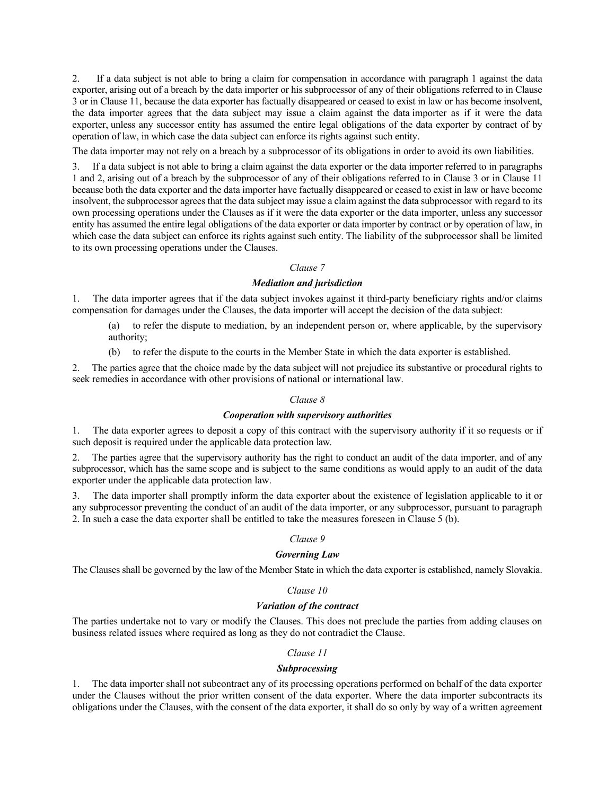2. If a data subject is not able to bring a claim for compensation in accordance with paragraph 1 against the data exporter, arising out of a breach by the data importer or his subprocessor of any of their obligations referred to in Clause 3 or in Clause 11, because the data exporter has factually disappeared or ceased to exist in law or has become insolvent, the data importer agrees that the data subject may issue a claim against the data importer as if it were the data exporter, unless any successor entity has assumed the entire legal obligations of the data exporter by contract of by operation of law, in which case the data subject can enforce its rights against such entity.

The data importer may not rely on a breach by a subprocessor of its obligations in order to avoid its own liabilities.

3. If a data subject is not able to bring a claim against the data exporter or the data importer referred to in paragraphs 1 and 2, arising out of a breach by the subprocessor of any of their obligations referred to in Clause 3 or in Clause 11 because both the data exporter and the data importer have factually disappeared or ceased to exist in law or have become insolvent, the subprocessor agrees that the data subject may issue a claim against the data subprocessor with regard to its own processing operations under the Clauses as if it were the data exporter or the data importer, unless any successor entity has assumed the entire legal obligations of the data exporter or data importer by contract or by operation of law, in which case the data subject can enforce its rights against such entity. The liability of the subprocessor shall be limited to its own processing operations under the Clauses.

# *Clause 7*

### *Mediation and jurisdiction*

1. The data importer agrees that if the data subject invokes against it third-party beneficiary rights and/or claims compensation for damages under the Clauses, the data importer will accept the decision of the data subject:

(a) to refer the dispute to mediation, by an independent person or, where applicable, by the supervisory authority;

(b) to refer the dispute to the courts in the Member State in which the data exporter is established.

2. The parties agree that the choice made by the data subject will not prejudice its substantive or procedural rights to seek remedies in accordance with other provisions of national or international law.

### *Clause 8*

#### *Cooperation with supervisory authorities*

1. The data exporter agrees to deposit a copy of this contract with the supervisory authority if it so requests or if such deposit is required under the applicable data protection law.

2. The parties agree that the supervisory authority has the right to conduct an audit of the data importer, and of any subprocessor, which has the same scope and is subject to the same conditions as would apply to an audit of the data exporter under the applicable data protection law.

3. The data importer shall promptly inform the data exporter about the existence of legislation applicable to it or any subprocessor preventing the conduct of an audit of the data importer, or any subprocessor, pursuant to paragraph 2. In such a case the data exporter shall be entitled to take the measures foreseen in Clause 5 (b).

#### *Clause 9*

### *Governing Law*

The Clauses shall be governed by the law of the Member State in which the data exporter is established, namely Slovakia.

#### *Clause 10*

#### *Variation of the contract*

The parties undertake not to vary or modify the Clauses. This does not preclude the parties from adding clauses on business related issues where required as long as they do not contradict the Clause.

# *Clause 11*

#### *Subprocessing*

1. The data importer shall not subcontract any of its processing operations performed on behalf of the data exporter under the Clauses without the prior written consent of the data exporter. Where the data importer subcontracts its obligations under the Clauses, with the consent of the data exporter, it shall do so only by way of a written agreement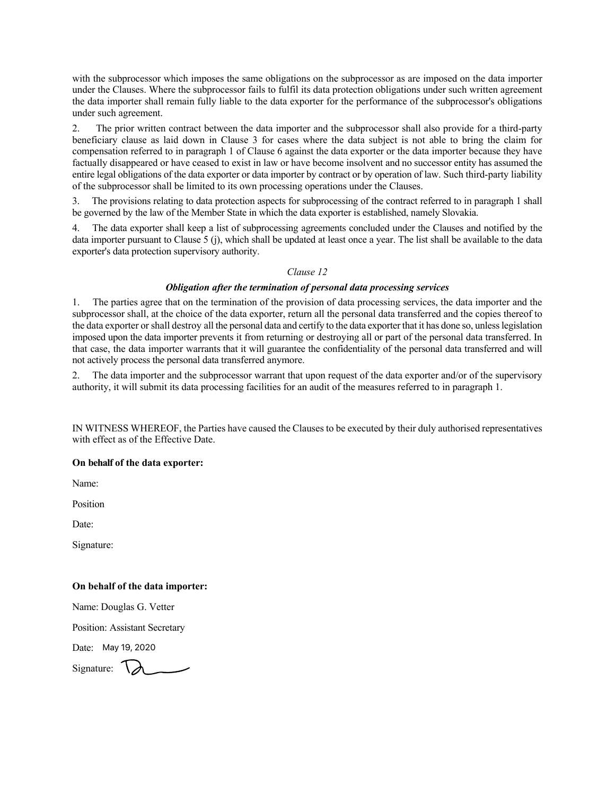with the subprocessor which imposes the same obligations on the subprocessor as are imposed on the data importer under the Clauses. Where the subprocessor fails to fulfil its data protection obligations under such written agreement the data importer shall remain fully liable to the data exporter for the performance of the subprocessor's obligations under such agreement.

2. The prior written contract between the data importer and the subprocessor shall also provide for a third-party beneficiary clause as laid down in Clause 3 for cases where the data subject is not able to bring the claim for compensation referred to in paragraph 1 of Clause 6 against the data exporter or the data importer because they have factually disappeared or have ceased to exist in law or have become insolvent and no successor entity has assumed the entire legal obligations of the data exporter or data importer by contract or by operation of law. Such third-party liability of the subprocessor shall be limited to its own processing operations under the Clauses.

3. The provisions relating to data protection aspects for subprocessing of the contract referred to in paragraph 1 shall be governed by the law of the Member State in which the data exporter is established, namely Slovakia.

4. The data exporter shall keep a list of subprocessing agreements concluded under the Clauses and notified by the data importer pursuant to Clause 5 (j), which shall be updated at least once a year. The list shall be available to the data exporter's data protection supervisory authority.

### *Clause 12*

#### *Obligation after the termination of personal data processing services*

1. The parties agree that on the termination of the provision of data processing services, the data importer and the subprocessor shall, at the choice of the data exporter, return all the personal data transferred and the copies thereof to the data exporter or shall destroy all the personal data and certify to the data exporter that it has done so, unless legislation imposed upon the data importer prevents it from returning or destroying all or part of the personal data transferred. In that case, the data importer warrants that it will guarantee the confidentiality of the personal data transferred and will not actively process the personal data transferred anymore.

2. The data importer and the subprocessor warrant that upon request of the data exporter and/or of the supervisory authority, it will submit its data processing facilities for an audit of the measures referred to in paragraph 1.

IN WITNESS WHEREOF, the Parties have caused the Clauses to be executed by their duly authorised representatives with effect as of the Effective Date.

### **On behalf of the data exporter:**

Name:

Position

Date:

Signature:

#### **On behalf of the data importer:**

Name: Douglas G. Vetter

Position: Assistant Secretary

Date: May 19, 2020

Signature:  $\lambda$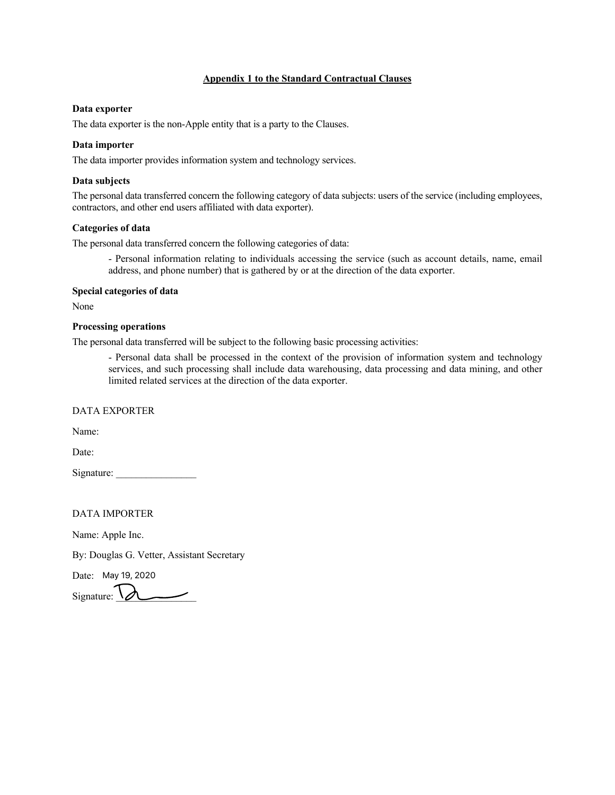# **Appendix 1 to the Standard Contractual Clauses**

### **Data exporter**

The data exporter is the non-Apple entity that is a party to the Clauses.

### **Data importer**

The data importer provides information system and technology services.

## **Data subjects**

The personal data transferred concern the following category of data subjects: users of the service (including employees, contractors, and other end users affiliated with data exporter).

### **Categories of data**

The personal data transferred concern the following categories of data:

- Personal information relating to individuals accessing the service (such as account details, name, email address, and phone number) that is gathered by or at the direction of the data exporter.

### **Special categories of data**

None

# **Processing operations**

The personal data transferred will be subject to the following basic processing activities:

- Personal data shall be processed in the context of the provision of information system and technology services, and such processing shall include data warehousing, data processing and data mining, and other limited related services at the direction of the data exporter.

DATA EXPORTER

Name:

Date:

Signature:

DATA IMPORTER

Name: Apple Inc.

By: Douglas G. Vetter, Assistant Secretary

Date: May 19, 2020

 $Signature: \setminus \&$